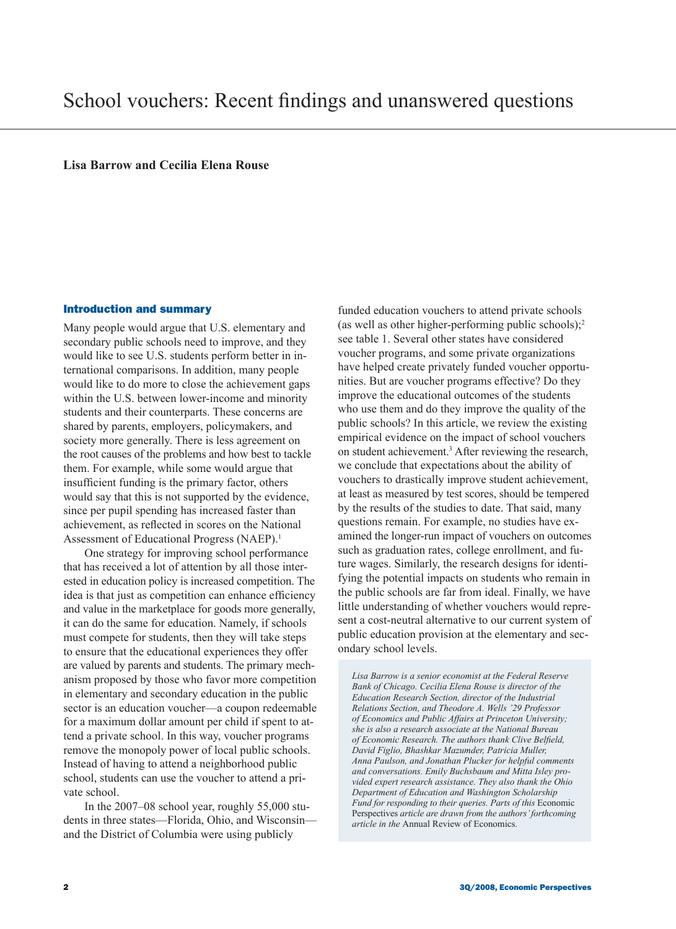**Lisa Barrow and Cecilia Elena Rouse**

### Introduction and summary

Many people would argue that U.S. elementary and secondary public schools need to improve, and they would like to see U.S. students perform better in international comparisons. In addition, many people would like to do more to close the achievement gaps within the U.S. between lower-income and minority students and their counterparts. These concerns are shared by parents, employers, policymakers, and society more generally. There is less agreement on the root causes of the problems and how best to tackle them. For example, while some would argue that insufficient funding is the primary factor, others would say that this is not supported by the evidence, since per pupil spending has increased faster than achievement, as reflected in scores on the National Assessment of Educational Progress (NAEP).<sup>1</sup>

One strategy for improving school performance that has received a lot of attention by all those interested in education policy is increased competition. The idea is that just as competition can enhance efficiency and value in the marketplace for goods more generally, it can do the same for education. Namely, if schools must compete for students, then they will take steps to ensure that the educational experiences they offer are valued by parents and students. The primary mechanism proposed by those who favor more competition in elementary and secondary education in the public sector is an education voucher—a coupon redeemable for a maximum dollar amount per child if spent to attend a private school. In this way, voucher programs remove the monopoly power of local public schools. Instead of having to attend a neighborhood public school, students can use the voucher to attend a private school.

In the 2007–08 school year, roughly 55,000 students in three states—Florida, Ohio, and Wisconsin and the District of Columbia were using publicly

funded education vouchers to attend private schools (as well as other higher-performing public schools);<sup>2</sup> see table 1. Several other states have considered voucher programs, and some private organizations have helped create privately funded voucher opportunities. But are voucher programs effective? Do they improve the educational outcomes of the students who use them and do they improve the quality of the public schools? In this article, we review the existing empirical evidence on the impact of school vouchers on student achievement.<sup>3</sup> After reviewing the research, we conclude that expectations about the ability of vouchers to drastically improve student achievement, at least as measured by test scores, should be tempered by the results of the studies to date. That said, many questions remain. For example, no studies have examined the longer-run impact of vouchers on outcomes such as graduation rates, college enrollment, and future wages. Similarly, the research designs for identifying the potential impacts on students who remain in the public schools are far from ideal. Finally, we have little understanding of whether vouchers would represent a cost-neutral alternative to our current system of public education provision at the elementary and secondary school levels.

*Lisa Barrow is a senior economist at the Federal Reserve Bank of Chicago. Cecilia Elena Rouse is director of the Education Research Section, director of the Industrial Relations Section, and Theodore A. Wells '29 Professor of Economics and Public Affairs at Princeton University; she is also a research associate at the National Bureau of Economic Research. The authors thank Clive Belfield, David Figlio, Bhashkar Mazumder, Patricia Muller, Anna Paulson, and Jonathan Plucker for helpful comments and conversations. Emily Buchsbaum and Mitta Isley provided expert research assistance. They also thank the Ohio Department of Education and Washington Scholarship Fund for responding to their queries. Parts of this* Economic Perspectives *article are drawn from the authors' forthcoming article in the* Annual Review of Economics*.*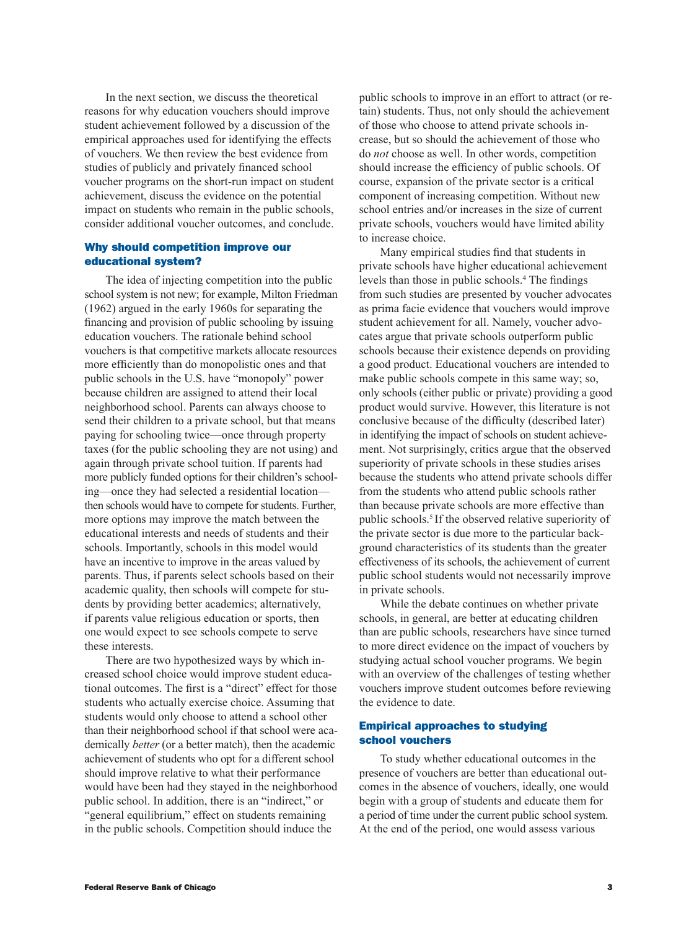In the next section, we discuss the theoretical reasons for why education vouchers should improve student achievement followed by a discussion of the empirical approaches used for identifying the effects of vouchers. We then review the best evidence from studies of publicly and privately financed school voucher programs on the short-run impact on student achievement, discuss the evidence on the potential impact on students who remain in the public schools, consider additional voucher outcomes, and conclude.

## Why should competition improve our educational system?

The idea of injecting competition into the public school system is not new; for example, Milton Friedman (1962) argued in the early 1960s for separating the financing and provision of public schooling by issuing education vouchers. The rationale behind school vouchers is that competitive markets allocate resources more efficiently than do monopolistic ones and that public schools in the U.S. have "monopoly" power because children are assigned to attend their local neighborhood school. Parents can always choose to send their children to a private school, but that means paying for schooling twice—once through property taxes (for the public schooling they are not using) and again through private school tuition. If parents had more publicly funded options for their children's schooling—once they had selected a residential location then schools would have to compete for students. Further, more options may improve the match between the educational interests and needs of students and their schools. Importantly, schools in this model would have an incentive to improve in the areas valued by parents. Thus, if parents select schools based on their academic quality, then schools will compete for students by providing better academics; alternatively, if parents value religious education or sports, then one would expect to see schools compete to serve these interests.

There are two hypothesized ways by which increased school choice would improve student educational outcomes. The first is a "direct" effect for those students who actually exercise choice. Assuming that students would only choose to attend a school other than their neighborhood school if that school were academically *better* (or a better match), then the academic achievement of students who opt for a different school should improve relative to what their performance would have been had they stayed in the neighborhood public school. In addition, there is an "indirect," or "general equilibrium," effect on students remaining in the public schools. Competition should induce the

public schools to improve in an effort to attract (or retain) students. Thus, not only should the achievement of those who choose to attend private schools increase, but so should the achievement of those who do *not* choose as well. In other words, competition should increase the efficiency of public schools. Of course, expansion of the private sector is a critical component of increasing competition. Without new school entries and/or increases in the size of current private schools, vouchers would have limited ability to increase choice.

Many empirical studies find that students in private schools have higher educational achievement levels than those in public schools.<sup>4</sup> The findings from such studies are presented by voucher advocates as prima facie evidence that vouchers would improve student achievement for all. Namely, voucher advocates argue that private schools outperform public schools because their existence depends on providing a good product. Educational vouchers are intended to make public schools compete in this same way; so, only schools (either public or private) providing a good product would survive. However, this literature is not conclusive because of the difficulty (described later) in identifying the impact of schools on student achievement. Not surprisingly, critics argue that the observed superiority of private schools in these studies arises because the students who attend private schools differ from the students who attend public schools rather than because private schools are more effective than public schools.5 If the observed relative superiority of the private sector is due more to the particular background characteristics of its students than the greater effectiveness of its schools, the achievement of current public school students would not necessarily improve in private schools.

While the debate continues on whether private schools, in general, are better at educating children than are public schools, researchers have since turned to more direct evidence on the impact of vouchers by studying actual school voucher programs. We begin with an overview of the challenges of testing whether vouchers improve student outcomes before reviewing the evidence to date.

## Empirical approaches to studying school vouchers

To study whether educational outcomes in the presence of vouchers are better than educational outcomes in the absence of vouchers, ideally, one would begin with a group of students and educate them for a period of time under the current public school system. At the end of the period, one would assess various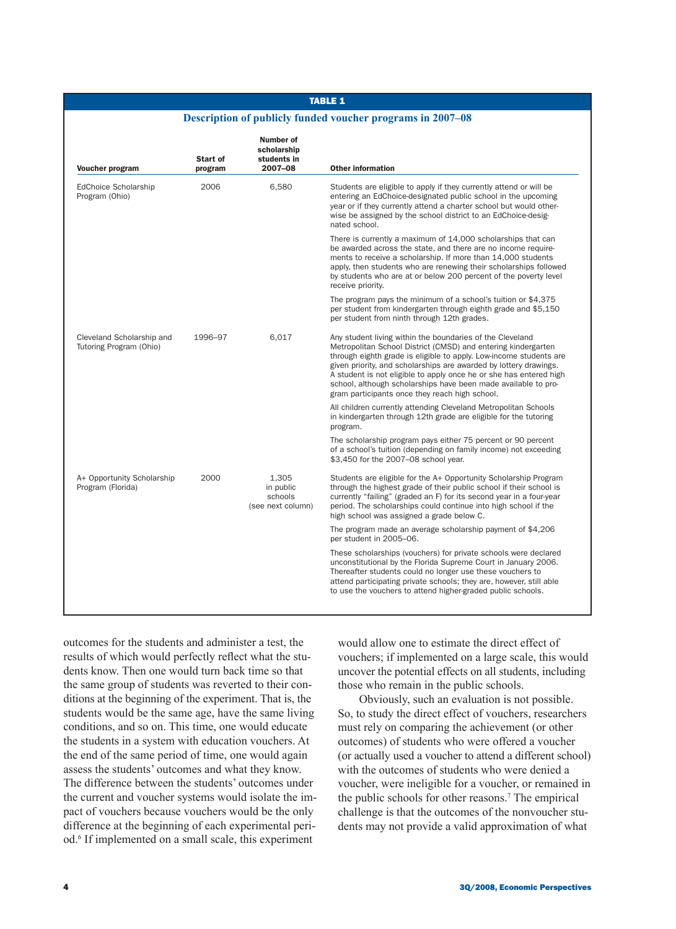## TABLE 1

### **Description of publicly funded voucher programs in 2007–08**

| Voucher program                                      | Start of<br>program | Number of<br>scholarship<br>students in<br>2007-08 | <b>Other information</b>                                                                                                                                                                                                                                                                                                                                                                                                                                        |
|------------------------------------------------------|---------------------|----------------------------------------------------|-----------------------------------------------------------------------------------------------------------------------------------------------------------------------------------------------------------------------------------------------------------------------------------------------------------------------------------------------------------------------------------------------------------------------------------------------------------------|
| EdChoice Scholarship<br>Program (Ohio)               | 2006                | 6,580                                              | Students are eligible to apply if they currently attend or will be<br>entering an EdChoice-designated public school in the upcoming<br>year or if they currently attend a charter school but would other-<br>wise be assigned by the school district to an EdChoice-desig-<br>nated school.                                                                                                                                                                     |
|                                                      |                     |                                                    | There is currently a maximum of 14,000 scholarships that can<br>be awarded across the state, and there are no income require-<br>ments to receive a scholarship. If more than 14,000 students<br>apply, then students who are renewing their scholarships followed<br>by students who are at or below 200 percent of the poverty level<br>receive priority.                                                                                                     |
|                                                      |                     |                                                    | The program pays the minimum of a school's tuition or \$4,375<br>per student from kindergarten through eighth grade and \$5,150<br>per student from ninth through 12th grades.                                                                                                                                                                                                                                                                                  |
| Cleveland Scholarship and<br>Tutoring Program (Ohio) | 1996-97             | 6,017                                              | Any student living within the boundaries of the Cleveland<br>Metropolitan School District (CMSD) and entering kindergarten<br>through eighth grade is eligible to apply. Low-income students are<br>given priority, and scholarships are awarded by lottery drawings.<br>A student is not eligible to apply once he or she has entered high<br>school, although scholarships have been made available to pro-<br>gram participants once they reach high school. |
|                                                      |                     |                                                    | All children currently attending Cleveland Metropolitan Schools<br>in kindergarten through 12th grade are eligible for the tutoring<br>program.                                                                                                                                                                                                                                                                                                                 |
|                                                      |                     |                                                    | The scholarship program pays either 75 percent or 90 percent<br>of a school's tuition (depending on family income) not exceeding<br>\$3,450 for the 2007-08 school year.                                                                                                                                                                                                                                                                                        |
| A+ Opportunity Scholarship<br>Program (Florida)      | 2000                | 1,305<br>in public<br>schools<br>(see next column) | Students are eligible for the A+ Opportunity Scholarship Program<br>through the highest grade of their public school if their school is<br>currently "failing" (graded an F) for its second year in a four-year<br>period. The scholarships could continue into high school if the<br>high school was assigned a grade below C.                                                                                                                                 |
|                                                      |                     |                                                    | The program made an average scholarship payment of \$4,206<br>per student in 2005-06.                                                                                                                                                                                                                                                                                                                                                                           |
|                                                      |                     |                                                    | These scholarships (vouchers) for private schools were declared<br>unconstitutional by the Florida Supreme Court in January 2006.<br>Thereafter students could no longer use these vouchers to<br>attend participating private schools; they are, however, still able<br>to use the vouchers to attend higher-graded public schools.                                                                                                                            |

outcomes for the students and administer a test, the results of which would perfectly reflect what the students know. Then one would turn back time so that the same group of students was reverted to their conditions at the beginning of the experiment. That is, the students would be the same age, have the same living conditions, and so on. This time, one would educate the students in a system with education vouchers. At the end of the same period of time, one would again assess the students' outcomes and what they know. The difference between the students' outcomes under the current and voucher systems would isolate the impact of vouchers because vouchers would be the only difference at the beginning of each experimental period.6 If implemented on a small scale, this experiment

would allow one to estimate the direct effect of vouchers; if implemented on a large scale, this would uncover the potential effects on all students, including those who remain in the public schools.

Obviously, such an evaluation is not possible. So, to study the direct effect of vouchers, researchers must rely on comparing the achievement (or other outcomes) of students who were offered a voucher (or actually used a voucher to attend a different school) with the outcomes of students who were denied a voucher, were ineligible for a voucher, or remained in the public schools for other reasons.7 The empirical challenge is that the outcomes of the nonvoucher students may not provide a valid approximation of what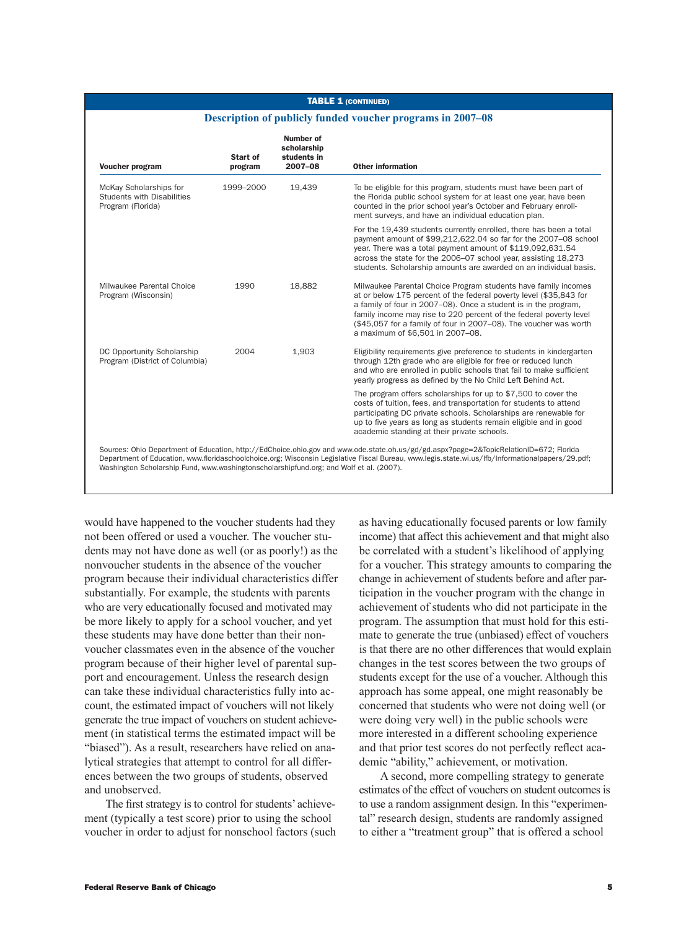#### TABLE 1 (CONTINUED)

#### **Description of publicly funded voucher programs in 2007–08**

| Start of<br>program | Number of<br>scholarship<br>students in<br>2007-08 | <b>Other information</b>                                                                                                                                                                                                                                                                                                                                                               |
|---------------------|----------------------------------------------------|----------------------------------------------------------------------------------------------------------------------------------------------------------------------------------------------------------------------------------------------------------------------------------------------------------------------------------------------------------------------------------------|
| 1999-2000           | 19.439                                             | To be eligible for this program, students must have been part of<br>the Florida public school system for at least one year, have been<br>counted in the prior school year's October and February enroll-<br>ment surveys, and have an individual education plan.                                                                                                                       |
|                     |                                                    | For the 19,439 students currently enrolled, there has been a total<br>payment amount of \$99,212,622.04 so far for the 2007-08 school<br>year. There was a total payment amount of \$119,092,631.54<br>across the state for the 2006-07 school year, assisting 18,273<br>students. Scholarship amounts are awarded on an individual basis.                                             |
| 1990                | 18,882                                             | Milwaukee Parental Choice Program students have family incomes<br>at or below 175 percent of the federal poverty level (\$35,843 for<br>a family of four in 2007–08). Once a student is in the program.<br>family income may rise to 220 percent of the federal poverty level<br>(\$45,057 for a family of four in 2007–08). The voucher was worth<br>a maximum of \$6.501 in 2007-08. |
| 2004                | 1,903                                              | Eligibility requirements give preference to students in kindergarten<br>through 12th grade who are eligible for free or reduced lunch<br>and who are enrolled in public schools that fail to make sufficient<br>yearly progress as defined by the No Child Left Behind Act.                                                                                                            |
|                     |                                                    | The program offers scholarships for up to \$7,500 to cover the<br>costs of tuition, fees, and transportation for students to attend<br>participating DC private schools. Scholarships are renewable for<br>up to five years as long as students remain eligible and in good<br>academic standing at their private schools.                                                             |
|                     |                                                    |                                                                                                                                                                                                                                                                                                                                                                                        |

Washington Scholarship Fund, www.washingtonscholarshipfund.org; and Wolf et al. (2007).

would have happened to the voucher students had they not been offered or used a voucher. The voucher students may not have done as well (or as poorly!) as the nonvoucher students in the absence of the voucher program because their individual characteristics differ substantially. For example, the students with parents who are very educationally focused and motivated may be more likely to apply for a school voucher, and yet these students may have done better than their nonvoucher classmates even in the absence of the voucher program because of their higher level of parental support and encouragement. Unless the research design can take these individual characteristics fully into account, the estimated impact of vouchers will not likely generate the true impact of vouchers on student achievement (in statistical terms the estimated impact will be "biased"). As a result, researchers have relied on analytical strategies that attempt to control for all differences between the two groups of students, observed and unobserved.

The first strategy is to control for students' achievement (typically a test score) prior to using the school voucher in order to adjust for nonschool factors (such as having educationally focused parents or low family income) that affect this achievement and that might also be correlated with a student's likelihood of applying for a voucher. This strategy amounts to comparing the change in achievement of students before and after participation in the voucher program with the change in achievement of students who did not participate in the program. The assumption that must hold for this estimate to generate the true (unbiased) effect of vouchers is that there are no other differences that would explain changes in the test scores between the two groups of students except for the use of a voucher. Although this approach has some appeal, one might reasonably be concerned that students who were not doing well (or were doing very well) in the public schools were more interested in a different schooling experience and that prior test scores do not perfectly reflect academic "ability," achievement, or motivation.

A second, more compelling strategy to generate estimates of the effect of vouchers on student outcomes is to use a random assignment design. In this "experimental" research design, students are randomly assigned to either a "treatment group" that is offered a school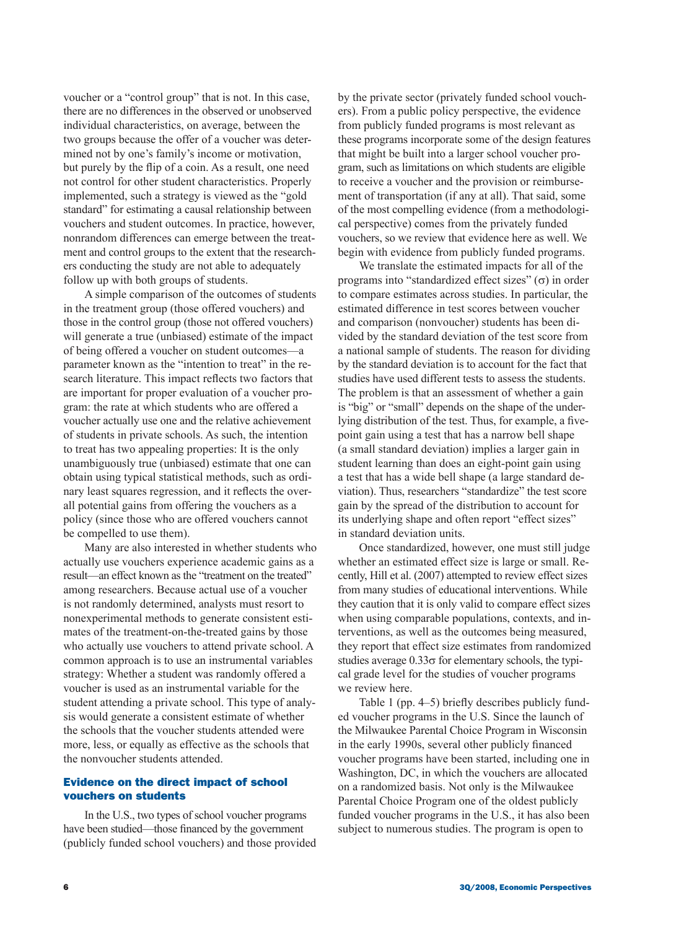voucher or a "control group" that is not. In this case, there are no differences in the observed or unobserved individual characteristics, on average, between the two groups because the offer of a voucher was determined not by one's family's income or motivation, but purely by the flip of a coin. As a result, one need not control for other student characteristics. Properly implemented, such a strategy is viewed as the "gold standard" for estimating a causal relationship between vouchers and student outcomes. In practice, however, nonrandom differences can emerge between the treatment and control groups to the extent that the researchers conducting the study are not able to adequately follow up with both groups of students.

A simple comparison of the outcomes of students in the treatment group (those offered vouchers) and those in the control group (those not offered vouchers) will generate a true (unbiased) estimate of the impact of being offered a voucher on student outcomes—a parameter known as the "intention to treat" in the research literature. This impact reflects two factors that are important for proper evaluation of a voucher program: the rate at which students who are offered a voucher actually use one and the relative achievement of students in private schools. As such, the intention to treat has two appealing properties: It is the only unambiguously true (unbiased) estimate that one can obtain using typical statistical methods, such as ordinary least squares regression, and it reflects the overall potential gains from offering the vouchers as a policy (since those who are offered vouchers cannot be compelled to use them).

Many are also interested in whether students who actually use vouchers experience academic gains as a result—an effect known as the "treatment on the treated" among researchers. Because actual use of a voucher is not randomly determined, analysts must resort to nonexperimental methods to generate consistent estimates of the treatment-on-the-treated gains by those who actually use vouchers to attend private school. A common approach is to use an instrumental variables strategy: Whether a student was randomly offered a voucher is used as an instrumental variable for the student attending a private school. This type of analysis would generate a consistent estimate of whether the schools that the voucher students attended were more, less, or equally as effective as the schools that the nonvoucher students attended.

## Evidence on the direct impact of school vouchers on students

In the U.S., two types of school voucher programs have been studied—those financed by the government (publicly funded school vouchers) and those provided by the private sector (privately funded school vouchers). From a public policy perspective, the evidence from publicly funded programs is most relevant as these programs incorporate some of the design features that might be built into a larger school voucher program, such as limitations on which students are eligible to receive a voucher and the provision or reimbursement of transportation (if any at all). That said, some of the most compelling evidence (from a methodological perspective) comes from the privately funded vouchers, so we review that evidence here as well. We begin with evidence from publicly funded programs.

We translate the estimated impacts for all of the programs into "standardized effect sizes"  $(\sigma)$  in order to compare estimates across studies. In particular, the estimated difference in test scores between voucher and comparison (nonvoucher) students has been divided by the standard deviation of the test score from a national sample of students. The reason for dividing by the standard deviation is to account for the fact that studies have used different tests to assess the students. The problem is that an assessment of whether a gain is "big" or "small" depends on the shape of the underlying distribution of the test. Thus, for example, a fivepoint gain using a test that has a narrow bell shape (a small standard deviation) implies a larger gain in student learning than does an eight-point gain using a test that has a wide bell shape (a large standard deviation). Thus, researchers "standardize" the test score gain by the spread of the distribution to account for its underlying shape and often report "effect sizes" in standard deviation units.

Once standardized, however, one must still judge whether an estimated effect size is large or small. Recently, Hill et al. (2007) attempted to review effect sizes from many studies of educational interventions. While they caution that it is only valid to compare effect sizes when using comparable populations, contexts, and interventions, as well as the outcomes being measured, they report that effect size estimates from randomized studies average  $0.33\sigma$  for elementary schools, the typical grade level for the studies of voucher programs we review here.

Table 1 (pp. 4–5) briefly describes publicly funded voucher programs in the U.S. Since the launch of the Milwaukee Parental Choice Program in Wisconsin in the early 1990s, several other publicly financed voucher programs have been started, including one in Washington, DC, in which the vouchers are allocated on a randomized basis. Not only is the Milwaukee Parental Choice Program one of the oldest publicly funded voucher programs in the U.S., it has also been subject to numerous studies. The program is open to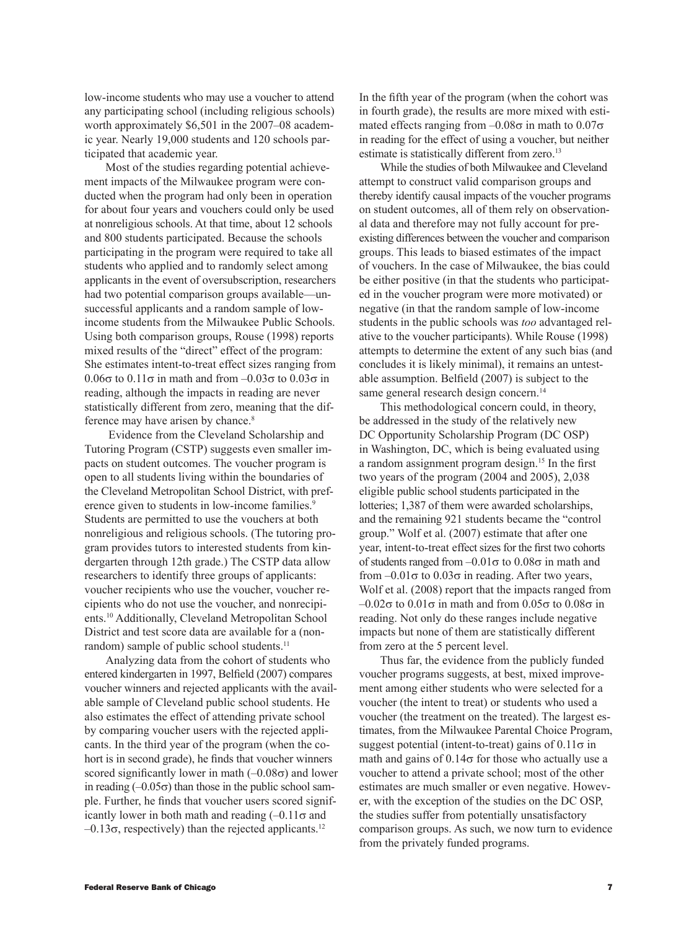low-income students who may use a voucher to attend any participating school (including religious schools) worth approximately \$6,501 in the 2007–08 academic year. Nearly 19,000 students and 120 schools participated that academic year.

Most of the studies regarding potential achievement impacts of the Milwaukee program were conducted when the program had only been in operation for about four years and vouchers could only be used at nonreligious schools. At that time, about 12 schools and 800 students participated. Because the schools participating in the program were required to take all students who applied and to randomly select among applicants in the event of oversubscription, researchers had two potential comparison groups available—unsuccessful applicants and a random sample of lowincome students from the Milwaukee Public Schools. Using both comparison groups, Rouse (1998) reports mixed results of the "direct" effect of the program: She estimates intent-to-treat effect sizes ranging from 0.06σ to 0.11σ in math and from –0.03σ to 0.03σ in reading, although the impacts in reading are never statistically different from zero, meaning that the difference may have arisen by chance.<sup>8</sup>

 Evidence from the Cleveland Scholarship and Tutoring Program (CSTP) suggests even smaller impacts on student outcomes. The voucher program is open to all students living within the boundaries of the Cleveland Metropolitan School District, with preference given to students in low-income families.<sup>9</sup> Students are permitted to use the vouchers at both nonreligious and religious schools. (The tutoring program provides tutors to interested students from kindergarten through 12th grade.) The CSTP data allow researchers to identify three groups of applicants: voucher recipients who use the voucher, voucher recipients who do not use the voucher, and nonrecipients.10 Additionally, Cleveland Metropolitan School District and test score data are available for a (nonrandom) sample of public school students.<sup>11</sup>

Analyzing data from the cohort of students who entered kindergarten in 1997, Belfield (2007) compares voucher winners and rejected applicants with the available sample of Cleveland public school students. He also estimates the effect of attending private school by comparing voucher users with the rejected applicants. In the third year of the program (when the cohort is in second grade), he finds that voucher winners scored significantly lower in math  $(-0.08\sigma)$  and lower in reading  $(-0.05\sigma)$  than those in the public school sample. Further, he finds that voucher users scored significantly lower in both math and reading  $(-0.11\sigma)$  and  $-0.13\sigma$ , respectively) than the rejected applicants.<sup>12</sup>

In the fifth year of the program (when the cohort was in fourth grade), the results are more mixed with estimated effects ranging from  $-0.08\sigma$  in math to  $0.07\sigma$ in reading for the effect of using a voucher, but neither estimate is statistically different from zero.<sup>13</sup>

While the studies of both Milwaukee and Cleveland attempt to construct valid comparison groups and thereby identify causal impacts of the voucher programs on student outcomes, all of them rely on observational data and therefore may not fully account for preexisting differences between the voucher and comparison groups. This leads to biased estimates of the impact of vouchers. In the case of Milwaukee, the bias could be either positive (in that the students who participated in the voucher program were more motivated) or negative (in that the random sample of low-income students in the public schools was *too* advantaged relative to the voucher participants). While Rouse (1998) attempts to determine the extent of any such bias (and concludes it is likely minimal), it remains an untestable assumption. Belfield (2007) is subject to the same general research design concern.<sup>14</sup>

This methodological concern could, in theory, be addressed in the study of the relatively new DC Opportunity Scholarship Program (DC OSP) in Washington, DC, which is being evaluated using a random assignment program design.15 In the first two years of the program (2004 and 2005), 2,038 eligible public school students participated in the lotteries; 1,387 of them were awarded scholarships, and the remaining 921 students became the "control group." Wolf et al. (2007) estimate that after one year, intent-to-treat effect sizes for the first two cohorts of students ranged from  $-0.01\sigma$  to  $0.08\sigma$  in math and from  $-0.01\sigma$  to  $0.03\sigma$  in reading. After two years, Wolf et al. (2008) report that the impacts ranged from  $-0.02\sigma$  to  $0.01\sigma$  in math and from  $0.05\sigma$  to  $0.08\sigma$  in reading. Not only do these ranges include negative impacts but none of them are statistically different from zero at the 5 percent level.

Thus far, the evidence from the publicly funded voucher programs suggests, at best, mixed improvement among either students who were selected for a voucher (the intent to treat) or students who used a voucher (the treatment on the treated). The largest estimates, from the Milwaukee Parental Choice Program, suggest potential (intent-to-treat) gains of  $0.11\sigma$  in math and gains of  $0.14\sigma$  for those who actually use a voucher to attend a private school; most of the other estimates are much smaller or even negative. However, with the exception of the studies on the DC OSP, the studies suffer from potentially unsatisfactory comparison groups. As such, we now turn to evidence from the privately funded programs.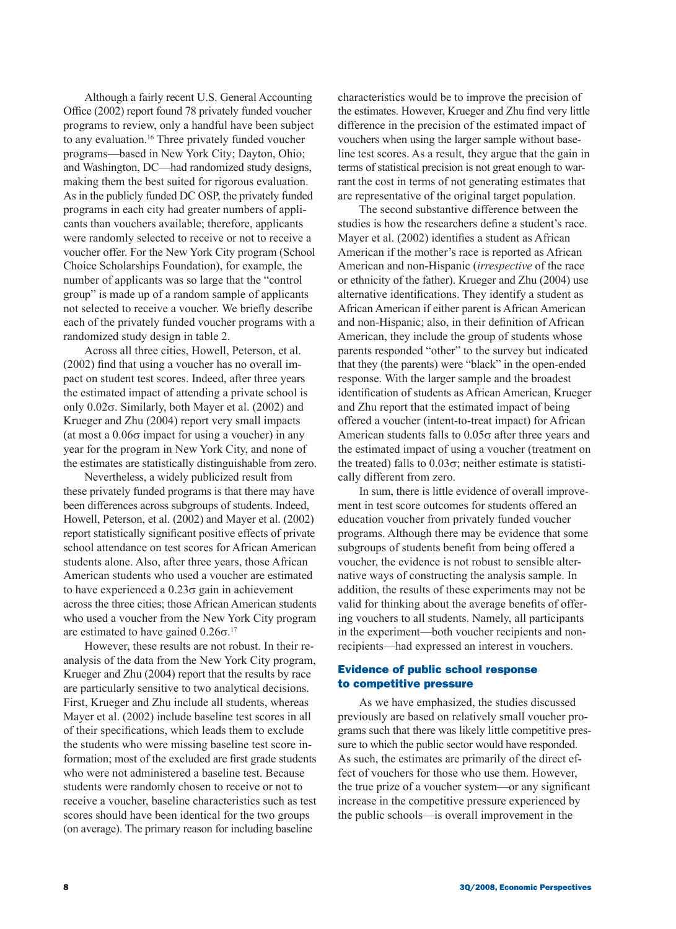Although a fairly recent U.S. General Accounting Office (2002) report found 78 privately funded voucher programs to review, only a handful have been subject to any evaluation.16 Three privately funded voucher programs—based in New York City; Dayton, Ohio; and Washington, DC—had randomized study designs, making them the best suited for rigorous evaluation. As in the publicly funded DC OSP, the privately funded programs in each city had greater numbers of applicants than vouchers available; therefore, applicants were randomly selected to receive or not to receive a voucher offer. For the New York City program (School Choice Scholarships Foundation), for example, the number of applicants was so large that the "control group" is made up of a random sample of applicants not selected to receive a voucher. We briefly describe each of the privately funded voucher programs with a randomized study design in table 2.

Across all three cities, Howell, Peterson, et al. (2002) find that using a voucher has no overall impact on student test scores. Indeed, after three years the estimated impact of attending a private school is only 0.02σ. Similarly, both Mayer et al. (2002) and Krueger and Zhu (2004) report very small impacts (at most a  $0.06\sigma$  impact for using a voucher) in any year for the program in New York City, and none of the estimates are statistically distinguishable from zero.

Nevertheless, a widely publicized result from these privately funded programs is that there may have been differences across subgroups of students. Indeed, Howell, Peterson, et al. (2002) and Mayer et al. (2002) report statistically significant positive effects of private school attendance on test scores for African American students alone. Also, after three years, those African American students who used a voucher are estimated to have experienced a  $0.23\sigma$  gain in achievement across the three cities; those African American students who used a voucher from the New York City program are estimated to have gained  $0.26\sigma$ <sup>17</sup>

However, these results are not robust. In their reanalysis of the data from the New York City program, Krueger and Zhu (2004) report that the results by race are particularly sensitive to two analytical decisions. First, Krueger and Zhu include all students, whereas Mayer et al. (2002) include baseline test scores in all of their specifications, which leads them to exclude the students who were missing baseline test score information; most of the excluded are first grade students who were not administered a baseline test. Because students were randomly chosen to receive or not to receive a voucher, baseline characteristics such as test scores should have been identical for the two groups (on average). The primary reason for including baseline

characteristics would be to improve the precision of the estimates. However, Krueger and Zhu find very little difference in the precision of the estimated impact of vouchers when using the larger sample without baseline test scores. As a result, they argue that the gain in terms of statistical precision is not great enough to warrant the cost in terms of not generating estimates that are representative of the original target population.

The second substantive difference between the studies is how the researchers define a student's race. Mayer et al. (2002) identifies a student as African American if the mother's race is reported as African American and non-Hispanic (*irrespective* of the race or ethnicity of the father). Krueger and Zhu (2004) use alternative identifications. They identify a student as African American if either parent is African American and non-Hispanic; also, in their definition of African American, they include the group of students whose parents responded "other" to the survey but indicated that they (the parents) were "black" in the open-ended response. With the larger sample and the broadest identification of students as African American, Krueger and Zhu report that the estimated impact of being offered a voucher (intent-to-treat impact) for African American students falls to  $0.05\sigma$  after three years and the estimated impact of using a voucher (treatment on the treated) falls to  $0.03\sigma$ ; neither estimate is statistically different from zero.

In sum, there is little evidence of overall improvement in test score outcomes for students offered an education voucher from privately funded voucher programs. Although there may be evidence that some subgroups of students benefit from being offered a voucher, the evidence is not robust to sensible alternative ways of constructing the analysis sample. In addition, the results of these experiments may not be valid for thinking about the average benefits of offering vouchers to all students. Namely, all participants in the experiment—both voucher recipients and nonrecipients—had expressed an interest in vouchers.

# Evidence of public school response to competitive pressure

As we have emphasized, the studies discussed previously are based on relatively small voucher programs such that there was likely little competitive pressure to which the public sector would have responded. As such, the estimates are primarily of the direct effect of vouchers for those who use them. However, the true prize of a voucher system—or any significant increase in the competitive pressure experienced by the public schools—is overall improvement in the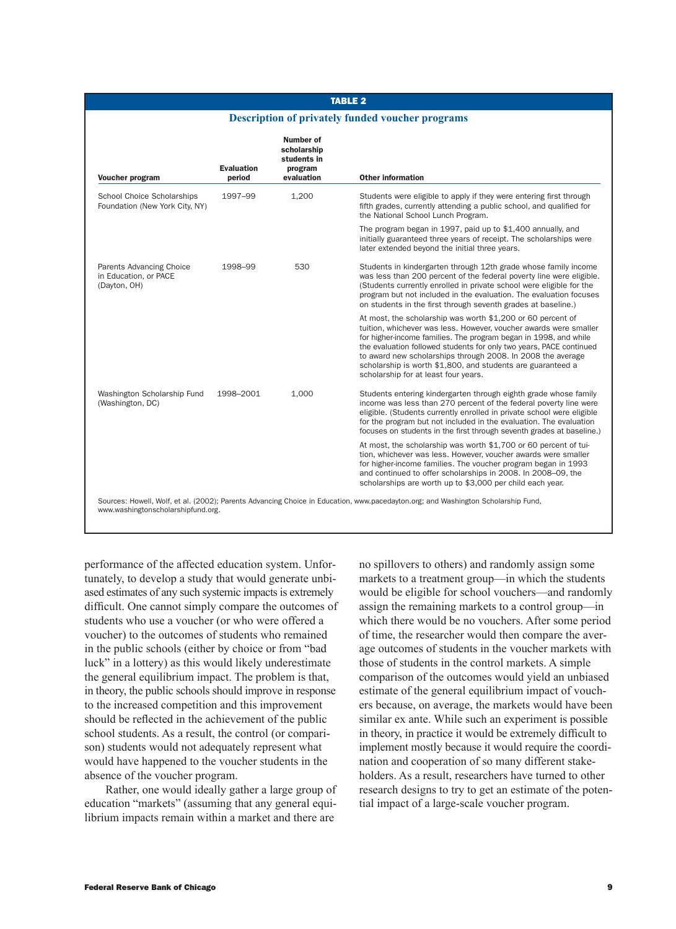## TABLE 2

### **Description of privately funded voucher programs**

| <b>Evaluation</b><br>period | Number of<br>scholarship<br>students in<br>program<br>evaluation | <b>Other information</b>                                                                                                                                                                                                                                                                                                                                                                                                                          |
|-----------------------------|------------------------------------------------------------------|---------------------------------------------------------------------------------------------------------------------------------------------------------------------------------------------------------------------------------------------------------------------------------------------------------------------------------------------------------------------------------------------------------------------------------------------------|
| 1997-99                     | 1,200                                                            | Students were eligible to apply if they were entering first through<br>fifth grades, currently attending a public school, and qualified for<br>the National School Lunch Program.                                                                                                                                                                                                                                                                 |
|                             |                                                                  | The program began in 1997, paid up to \$1,400 annually, and<br>initially guaranteed three years of receipt. The scholarships were<br>later extended beyond the initial three years.                                                                                                                                                                                                                                                               |
| 1998-99                     | 530                                                              | Students in kindergarten through 12th grade whose family income<br>was less than 200 percent of the federal poverty line were eligible.<br>(Students currently enrolled in private school were eligible for the<br>program but not included in the evaluation. The evaluation focuses<br>on students in the first through seventh grades at baseline.)                                                                                            |
|                             |                                                                  | At most, the scholarship was worth \$1,200 or 60 percent of<br>tuition, whichever was less. However, voucher awards were smaller<br>for higher-income families. The program began in 1998, and while<br>the evaluation followed students for only two years, PACE continued<br>to award new scholarships through 2008. In 2008 the average<br>scholarship is worth \$1,800, and students are guaranteed a<br>scholarship for at least four years. |
| 1998-2001                   | 1,000                                                            | Students entering kindergarten through eighth grade whose family<br>income was less than 270 percent of the federal poverty line were<br>eligible. (Students currently enrolled in private school were eligible<br>for the program but not included in the evaluation. The evaluation<br>focuses on students in the first through seventh grades at baseline.)                                                                                    |
|                             |                                                                  | At most, the scholarship was worth \$1,700 or 60 percent of tui-<br>tion, whichever was less. However, voucher awards were smaller<br>for higher-income families. The voucher program began in 1993<br>and continued to offer scholarships in 2008. In 2008-09, the<br>scholarships are worth up to \$3,000 per child each year.                                                                                                                  |
|                             |                                                                  |                                                                                                                                                                                                                                                                                                                                                                                                                                                   |

performance of the affected education system. Unfortunately, to develop a study that would generate unbiased estimates of any such systemic impacts is extremely difficult. One cannot simply compare the outcomes of students who use a voucher (or who were offered a voucher) to the outcomes of students who remained in the public schools (either by choice or from "bad luck" in a lottery) as this would likely underestimate the general equilibrium impact. The problem is that, in theory, the public schools should improve in response to the increased competition and this improvement should be reflected in the achievement of the public school students. As a result, the control (or comparison) students would not adequately represent what would have happened to the voucher students in the absence of the voucher program.

Rather, one would ideally gather a large group of education "markets" (assuming that any general equilibrium impacts remain within a market and there are

no spillovers to others) and randomly assign some markets to a treatment group—in which the students would be eligible for school vouchers—and randomly assign the remaining markets to a control group—in which there would be no vouchers. After some period of time, the researcher would then compare the average outcomes of students in the voucher markets with those of students in the control markets. A simple comparison of the outcomes would yield an unbiased estimate of the general equilibrium impact of vouchers because, on average, the markets would have been similar ex ante. While such an experiment is possible in theory, in practice it would be extremely difficult to implement mostly because it would require the coordination and cooperation of so many different stakeholders. As a result, researchers have turned to other research designs to try to get an estimate of the potential impact of a large-scale voucher program.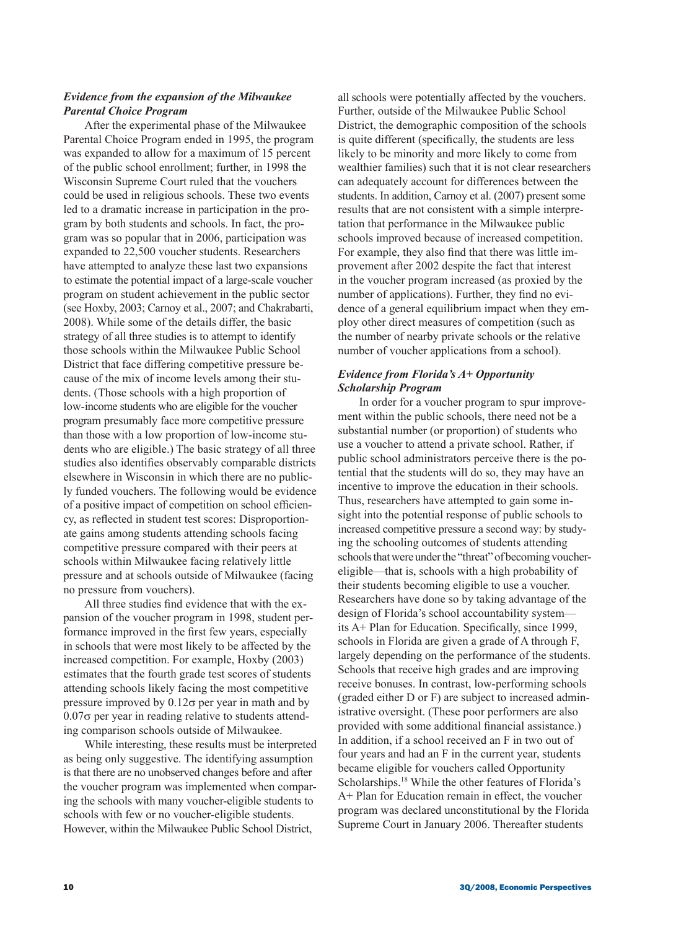# *Evidence from the expansion of the Milwaukee Parental Choice Program*

After the experimental phase of the Milwaukee Parental Choice Program ended in 1995, the program was expanded to allow for a maximum of 15 percent of the public school enrollment; further, in 1998 the Wisconsin Supreme Court ruled that the vouchers could be used in religious schools. These two events led to a dramatic increase in participation in the program by both students and schools. In fact, the program was so popular that in 2006, participation was expanded to 22,500 voucher students. Researchers have attempted to analyze these last two expansions to estimate the potential impact of a large-scale voucher program on student achievement in the public sector (see Hoxby, 2003; Carnoy et al., 2007; and Chakrabarti, 2008). While some of the details differ, the basic strategy of all three studies is to attempt to identify those schools within the Milwaukee Public School District that face differing competitive pressure because of the mix of income levels among their students. (Those schools with a high proportion of low-income students who are eligible for the voucher program presumably face more competitive pressure than those with a low proportion of low-income students who are eligible.) The basic strategy of all three studies also identifies observably comparable districts elsewhere in Wisconsin in which there are no publicly funded vouchers. The following would be evidence of a positive impact of competition on school efficiency, as reflected in student test scores: Disproportionate gains among students attending schools facing competitive pressure compared with their peers at schools within Milwaukee facing relatively little pressure and at schools outside of Milwaukee (facing no pressure from vouchers).

All three studies find evidence that with the expansion of the voucher program in 1998, student performance improved in the first few years, especially in schools that were most likely to be affected by the increased competition. For example, Hoxby (2003) estimates that the fourth grade test scores of students attending schools likely facing the most competitive pressure improved by  $0.12\sigma$  per year in math and by 0.07σ per year in reading relative to students attending comparison schools outside of Milwaukee.

While interesting, these results must be interpreted as being only suggestive. The identifying assumption is that there are no unobserved changes before and after the voucher program was implemented when comparing the schools with many voucher-eligible students to schools with few or no voucher-eligible students. However, within the Milwaukee Public School District,

all schools were potentially affected by the vouchers. Further, outside of the Milwaukee Public School District, the demographic composition of the schools is quite different (specifically, the students are less likely to be minority and more likely to come from wealthier families) such that it is not clear researchers can adequately account for differences between the students. In addition, Carnoy et al. (2007) present some results that are not consistent with a simple interpretation that performance in the Milwaukee public schools improved because of increased competition. For example, they also find that there was little improvement after 2002 despite the fact that interest in the voucher program increased (as proxied by the number of applications). Further, they find no evidence of a general equilibrium impact when they employ other direct measures of competition (such as the number of nearby private schools or the relative number of voucher applications from a school).

# *Evidence from Florida's A+ Opportunity Scholarship Program*

In order for a voucher program to spur improvement within the public schools, there need not be a substantial number (or proportion) of students who use a voucher to attend a private school. Rather, if public school administrators perceive there is the potential that the students will do so, they may have an incentive to improve the education in their schools. Thus, researchers have attempted to gain some insight into the potential response of public schools to increased competitive pressure a second way: by studying the schooling outcomes of students attending schools that were under the "threat" of becoming vouchereligible—that is, schools with a high probability of their students becoming eligible to use a voucher. Researchers have done so by taking advantage of the design of Florida's school accountability system its A+ Plan for Education. Specifically, since 1999, schools in Florida are given a grade of A through F, largely depending on the performance of the students. Schools that receive high grades and are improving receive bonuses. In contrast, low-performing schools (graded either D or F) are subject to increased administrative oversight. (These poor performers are also provided with some additional financial assistance.) In addition, if a school received an F in two out of four years and had an F in the current year, students became eligible for vouchers called Opportunity Scholarships.<sup>18</sup> While the other features of Florida's A+ Plan for Education remain in effect, the voucher program was declared unconstitutional by the Florida Supreme Court in January 2006. Thereafter students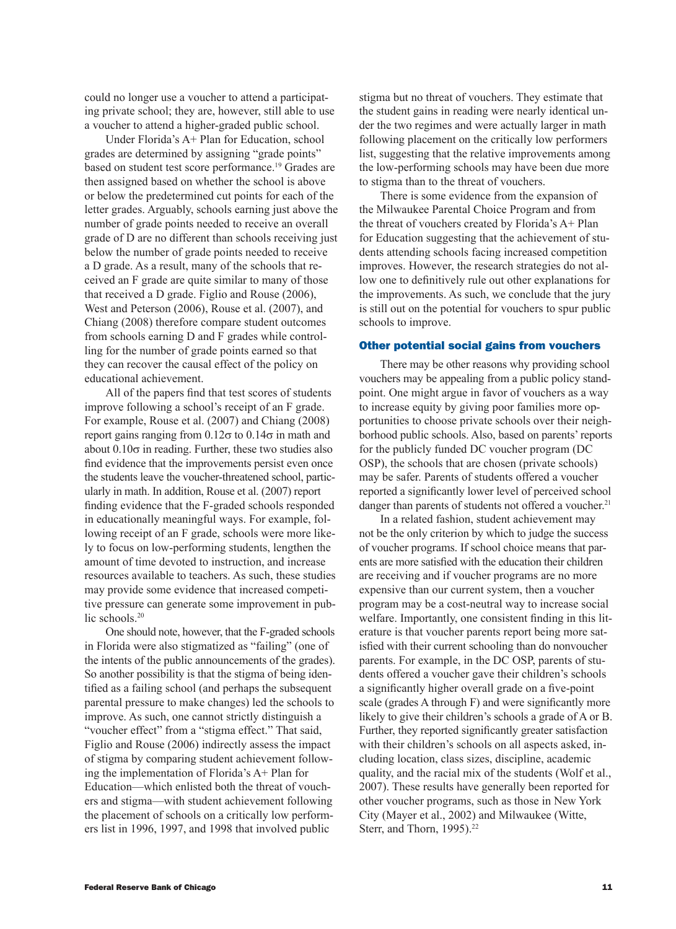could no longer use a voucher to attend a participating private school; they are, however, still able to use a voucher to attend a higher-graded public school.

Under Florida's A+ Plan for Education, school grades are determined by assigning "grade points" based on student test score performance.19 Grades are then assigned based on whether the school is above or below the predetermined cut points for each of the letter grades. Arguably, schools earning just above the number of grade points needed to receive an overall grade of D are no different than schools receiving just below the number of grade points needed to receive a D grade. As a result, many of the schools that received an F grade are quite similar to many of those that received a D grade. Figlio and Rouse (2006), West and Peterson (2006), Rouse et al. (2007), and Chiang (2008) therefore compare student outcomes from schools earning D and F grades while controlling for the number of grade points earned so that they can recover the causal effect of the policy on educational achievement.

All of the papers find that test scores of students improve following a school's receipt of an F grade. For example, Rouse et al. (2007) and Chiang (2008) report gains ranging from  $0.12σ$  to  $0.14σ$  in math and about  $0.10\sigma$  in reading. Further, these two studies also find evidence that the improvements persist even once the students leave the voucher-threatened school, particularly in math. In addition, Rouse et al. (2007) report finding evidence that the F-graded schools responded in educationally meaningful ways. For example, following receipt of an F grade, schools were more likely to focus on low-performing students, lengthen the amount of time devoted to instruction, and increase resources available to teachers. As such, these studies may provide some evidence that increased competitive pressure can generate some improvement in public schools.<sup>20</sup>

One should note, however, that the F-graded schools in Florida were also stigmatized as "failing" (one of the intents of the public announcements of the grades). So another possibility is that the stigma of being identified as a failing school (and perhaps the subsequent parental pressure to make changes) led the schools to improve. As such, one cannot strictly distinguish a "voucher effect" from a "stigma effect." That said, Figlio and Rouse (2006) indirectly assess the impact of stigma by comparing student achievement following the implementation of Florida's A+ Plan for Education—which enlisted both the threat of vouchers and stigma—with student achievement following the placement of schools on a critically low performers list in 1996, 1997, and 1998 that involved public

stigma but no threat of vouchers. They estimate that the student gains in reading were nearly identical under the two regimes and were actually larger in math following placement on the critically low performers list, suggesting that the relative improvements among the low-performing schools may have been due more to stigma than to the threat of vouchers.

There is some evidence from the expansion of the Milwaukee Parental Choice Program and from the threat of vouchers created by Florida's A+ Plan for Education suggesting that the achievement of students attending schools facing increased competition improves. However, the research strategies do not allow one to definitively rule out other explanations for the improvements. As such, we conclude that the jury is still out on the potential for vouchers to spur public schools to improve.

#### Other potential social gains from vouchers

There may be other reasons why providing school vouchers may be appealing from a public policy standpoint. One might argue in favor of vouchers as a way to increase equity by giving poor families more opportunities to choose private schools over their neighborhood public schools. Also, based on parents' reports for the publicly funded DC voucher program (DC OSP), the schools that are chosen (private schools) may be safer. Parents of students offered a voucher reported a significantly lower level of perceived school danger than parents of students not offered a voucher.<sup>21</sup>

In a related fashion, student achievement may not be the only criterion by which to judge the success of voucher programs. If school choice means that parents are more satisfied with the education their children are receiving and if voucher programs are no more expensive than our current system, then a voucher program may be a cost-neutral way to increase social welfare. Importantly, one consistent finding in this literature is that voucher parents report being more satisfied with their current schooling than do nonvoucher parents. For example, in the DC OSP, parents of students offered a voucher gave their children's schools a significantly higher overall grade on a five-point scale (grades A through F) and were significantly more likely to give their children's schools a grade of A or B. Further, they reported significantly greater satisfaction with their children's schools on all aspects asked, including location, class sizes, discipline, academic quality, and the racial mix of the students (Wolf et al., 2007). These results have generally been reported for other voucher programs, such as those in New York City (Mayer et al., 2002) and Milwaukee (Witte, Sterr, and Thorn, 1995).<sup>22</sup>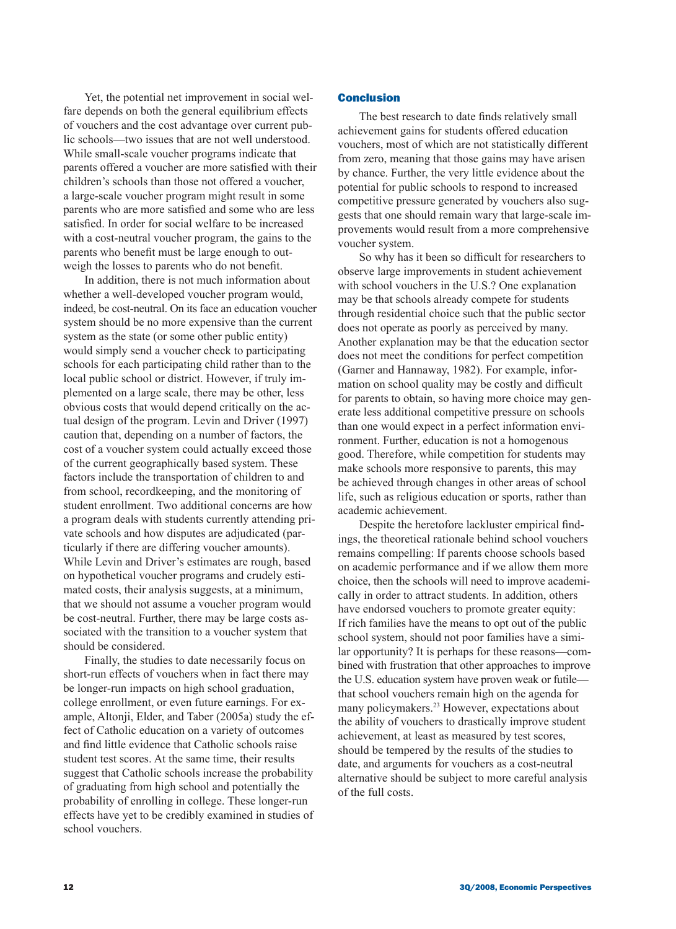Yet, the potential net improvement in social welfare depends on both the general equilibrium effects of vouchers and the cost advantage over current public schools—two issues that are not well understood. While small-scale voucher programs indicate that parents offered a voucher are more satisfied with their children's schools than those not offered a voucher, a large-scale voucher program might result in some parents who are more satisfied and some who are less satisfied. In order for social welfare to be increased with a cost-neutral voucher program, the gains to the parents who benefit must be large enough to outweigh the losses to parents who do not benefit.

In addition, there is not much information about whether a well-developed voucher program would, indeed, be cost-neutral. On its face an education voucher system should be no more expensive than the current system as the state (or some other public entity) would simply send a voucher check to participating schools for each participating child rather than to the local public school or district. However, if truly implemented on a large scale, there may be other, less obvious costs that would depend critically on the actual design of the program. Levin and Driver (1997) caution that, depending on a number of factors, the cost of a voucher system could actually exceed those of the current geographically based system. These factors include the transportation of children to and from school, recordkeeping, and the monitoring of student enrollment. Two additional concerns are how a program deals with students currently attending private schools and how disputes are adjudicated (particularly if there are differing voucher amounts). While Levin and Driver's estimates are rough, based on hypothetical voucher programs and crudely estimated costs, their analysis suggests, at a minimum, that we should not assume a voucher program would be cost-neutral. Further, there may be large costs associated with the transition to a voucher system that should be considered.

Finally, the studies to date necessarily focus on short-run effects of vouchers when in fact there may be longer-run impacts on high school graduation, college enrollment, or even future earnings. For example, Altonji, Elder, and Taber (2005a) study the effect of Catholic education on a variety of outcomes and find little evidence that Catholic schools raise student test scores. At the same time, their results suggest that Catholic schools increase the probability of graduating from high school and potentially the probability of enrolling in college. These longer-run effects have yet to be credibly examined in studies of school vouchers.

### **Conclusion**

The best research to date finds relatively small achievement gains for students offered education vouchers, most of which are not statistically different from zero, meaning that those gains may have arisen by chance. Further, the very little evidence about the potential for public schools to respond to increased competitive pressure generated by vouchers also suggests that one should remain wary that large-scale improvements would result from a more comprehensive voucher system.

So why has it been so difficult for researchers to observe large improvements in student achievement with school vouchers in the U.S.? One explanation may be that schools already compete for students through residential choice such that the public sector does not operate as poorly as perceived by many. Another explanation may be that the education sector does not meet the conditions for perfect competition (Garner and Hannaway, 1982). For example, information on school quality may be costly and difficult for parents to obtain, so having more choice may generate less additional competitive pressure on schools than one would expect in a perfect information environment. Further, education is not a homogenous good. Therefore, while competition for students may make schools more responsive to parents, this may be achieved through changes in other areas of school life, such as religious education or sports, rather than academic achievement.

Despite the heretofore lackluster empirical findings, the theoretical rationale behind school vouchers remains compelling: If parents choose schools based on academic performance and if we allow them more choice, then the schools will need to improve academically in order to attract students. In addition, others have endorsed vouchers to promote greater equity: If rich families have the means to opt out of the public school system, should not poor families have a similar opportunity? It is perhaps for these reasons—combined with frustration that other approaches to improve the U.S. education system have proven weak or futile that school vouchers remain high on the agenda for many policymakers.23 However, expectations about the ability of vouchers to drastically improve student achievement, at least as measured by test scores, should be tempered by the results of the studies to date, and arguments for vouchers as a cost-neutral alternative should be subject to more careful analysis of the full costs.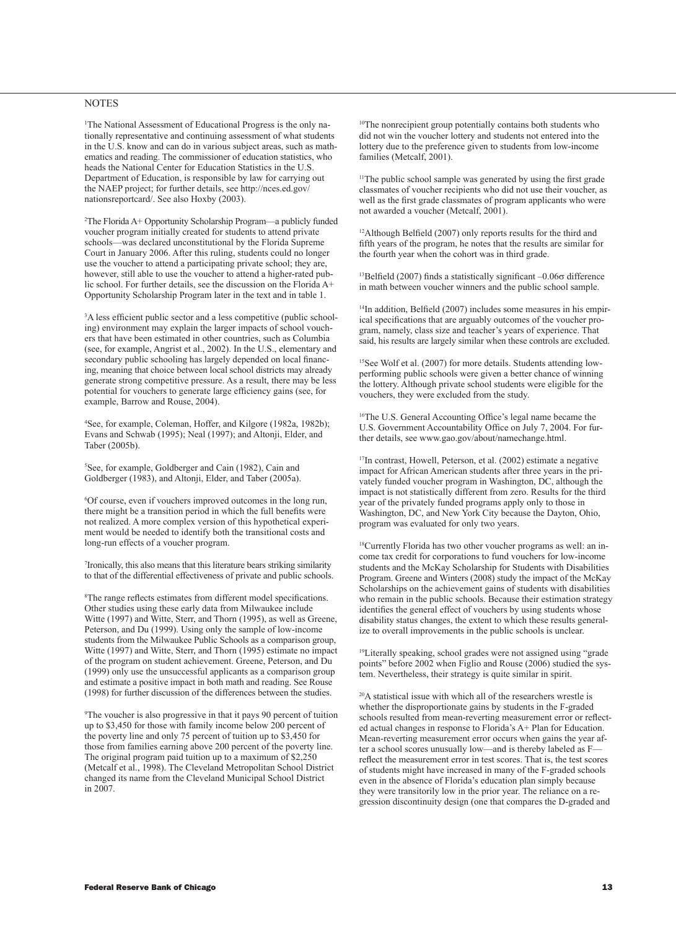### **NOTES**

1 The National Assessment of Educational Progress is the only nationally representative and continuing assessment of what students in the U.S. know and can do in various subject areas, such as mathematics and reading. The commissioner of education statistics, who heads the National Center for Education Statistics in the U.S. Department of Education, is responsible by law for carrying out the NAEP project; for further details, see http://nces.ed.gov/ nationsreportcard/. See also Hoxby (2003).

2 The Florida A+ Opportunity Scholarship Program—a publicly funded voucher program initially created for students to attend private schools—was declared unconstitutional by the Florida Supreme Court in January 2006. After this ruling, students could no longer use the voucher to attend a participating private school; they are, however, still able to use the voucher to attend a higher-rated public school. For further details, see the discussion on the Florida A+ Opportunity Scholarship Program later in the text and in table 1.

3 A less efficient public sector and a less competitive (public schooling) environment may explain the larger impacts of school vouchers that have been estimated in other countries, such as Columbia (see, for example, Angrist et al., 2002). In the U.S., elementary and secondary public schooling has largely depended on local financing, meaning that choice between local school districts may already generate strong competitive pressure. As a result, there may be less potential for vouchers to generate large efficiency gains (see, for example, Barrow and Rouse, 2004).

4 See, for example, Coleman, Hoffer, and Kilgore (1982a, 1982b); Evans and Schwab (1995); Neal (1997); and Altonji, Elder, and Taber (2005b).

5 See, for example, Goldberger and Cain (1982), Cain and Goldberger (1983), and Altonji, Elder, and Taber (2005a).

6 Of course, even if vouchers improved outcomes in the long run, there might be a transition period in which the full benefits were not realized. A more complex version of this hypothetical experiment would be needed to identify both the transitional costs and long-run effects of a voucher program.

7 Ironically, this also means that this literature bears striking similarity to that of the differential effectiveness of private and public schools.

8 The range reflects estimates from different model specifications. Other studies using these early data from Milwaukee include Witte (1997) and Witte, Sterr, and Thorn (1995), as well as Greene, Peterson, and Du (1999). Using only the sample of low-income students from the Milwaukee Public Schools as a comparison group, Witte (1997) and Witte, Sterr, and Thorn (1995) estimate no impact of the program on student achievement. Greene, Peterson, and Du (1999) only use the unsuccessful applicants as a comparison group and estimate a positive impact in both math and reading. See Rouse (1998) for further discussion of the differences between the studies.

9 The voucher is also progressive in that it pays 90 percent of tuition up to \$3,450 for those with family income below 200 percent of the poverty line and only 75 percent of tuition up to \$3,450 for those from families earning above 200 percent of the poverty line. The original program paid tuition up to a maximum of \$2,250 (Metcalf et al., 1998). The Cleveland Metropolitan School District changed its name from the Cleveland Municipal School District in 2007.

10The nonrecipient group potentially contains both students who did not win the voucher lottery and students not entered into the lottery due to the preference given to students from low-income families (Metcalf, 2001).

<sup>11</sup>The public school sample was generated by using the first grade classmates of voucher recipients who did not use their voucher, as well as the first grade classmates of program applicants who were not awarded a voucher (Metcalf, 2001).

12Although Belfield (2007) only reports results for the third and fifth years of the program, he notes that the results are similar for the fourth year when the cohort was in third grade.

<sup>13</sup>Belfield (2007) finds a statistically significant  $-0.06\sigma$  difference in math between voucher winners and the public school sample.

<sup>14</sup>In addition, Belfield (2007) includes some measures in his empirical specifications that are arguably outcomes of the voucher program, namely, class size and teacher's years of experience. That said, his results are largely similar when these controls are excluded.

<sup>15</sup>See Wolf et al. (2007) for more details. Students attending lowperforming public schools were given a better chance of winning the lottery. Although private school students were eligible for the vouchers, they were excluded from the study.

16The U.S. General Accounting Office's legal name became the U.S. Government Accountability Office on July 7, 2004. For further details, see www.gao.gov/about/namechange.html.

17In contrast, Howell, Peterson, et al. (2002) estimate a negative impact for African American students after three years in the privately funded voucher program in Washington, DC, although the impact is not statistically different from zero. Results for the third year of the privately funded programs apply only to those in Washington, DC, and New York City because the Dayton, Ohio, program was evaluated for only two years.

18Currently Florida has two other voucher programs as well: an income tax credit for corporations to fund vouchers for low-income students and the McKay Scholarship for Students with Disabilities Program. Greene and Winters (2008) study the impact of the McKay Scholarships on the achievement gains of students with disabilities who remain in the public schools. Because their estimation strategy identifies the general effect of vouchers by using students whose disability status changes, the extent to which these results generalize to overall improvements in the public schools is unclear.

19Literally speaking, school grades were not assigned using "grade points" before 2002 when Figlio and Rouse (2006) studied the system. Nevertheless, their strategy is quite similar in spirit.

20A statistical issue with which all of the researchers wrestle is whether the disproportionate gains by students in the F-graded schools resulted from mean-reverting measurement error or reflected actual changes in response to Florida's A+ Plan for Education. Mean-reverting measurement error occurs when gains the year after a school scores unusually low—and is thereby labeled as F reflect the measurement error in test scores. That is, the test scores of students might have increased in many of the F-graded schools even in the absence of Florida's education plan simply because they were transitorily low in the prior year. The reliance on a regression discontinuity design (one that compares the D-graded and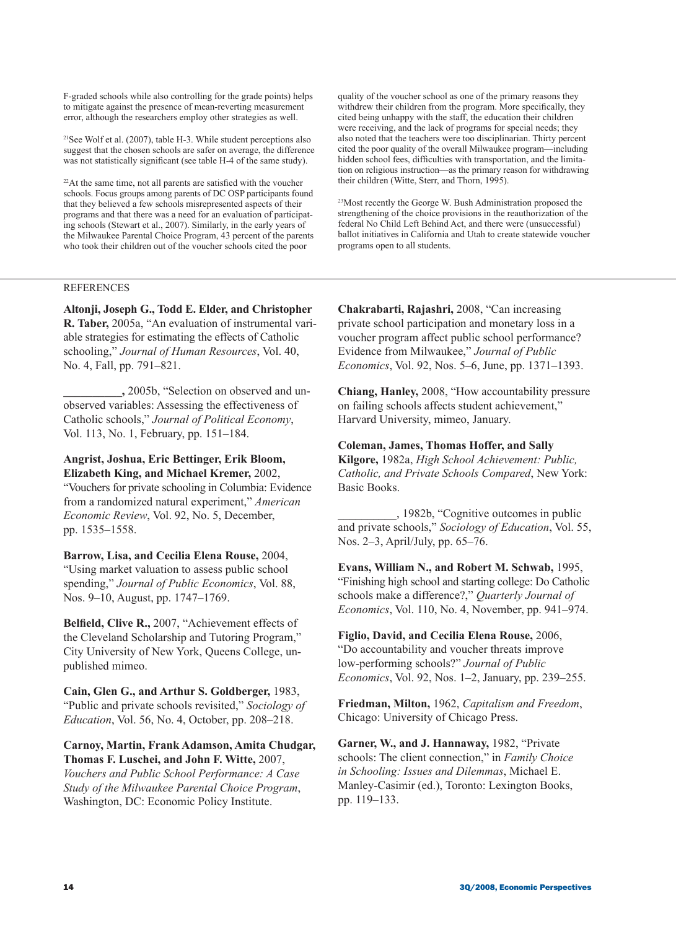F-graded schools while also controlling for the grade points) helps to mitigate against the presence of mean-reverting measurement error, although the researchers employ other strategies as well.

21See Wolf et al. (2007), table H-3. While student perceptions also suggest that the chosen schools are safer on average, the difference was not statistically significant (see table H-4 of the same study).

 $22$ At the same time, not all parents are satisfied with the voucher schools. Focus groups among parents of DC OSP participants found that they believed a few schools misrepresented aspects of their programs and that there was a need for an evaluation of participating schools (Stewart et al., 2007). Similarly, in the early years of the Milwaukee Parental Choice Program, 43 percent of the parents who took their children out of the voucher schools cited the poor

REFERENCES

**Altonji, Joseph G., Todd E. Elder, and Christopher R. Taber,** 2005a, "An evaluation of instrumental variable strategies for estimating the effects of Catholic schooling," *Journal of Human Resources*, Vol. 40, No. 4, Fall, pp. 791–821.

**\_\_\_\_\_\_\_\_\_\_,** 2005b, "Selection on observed and unobserved variables: Assessing the effectiveness of Catholic schools," *Journal of Political Economy*, Vol. 113, No. 1, February, pp. 151–184.

**Angrist, Joshua, Eric Bettinger, Erik Bloom, Elizabeth King, and Michael Kremer,** 2002, "Vouchers for private schooling in Columbia: Evidence from a randomized natural experiment," *American Economic Review*, Vol. 92, No. 5, December, pp. 1535–1558.

**Barrow, Lisa, and Cecilia Elena Rouse,** 2004, "Using market valuation to assess public school spending," *Journal of Public Economics*, Vol. 88, Nos. 9–10, August, pp. 1747–1769.

**Belfield, Clive R.,** 2007, "Achievement effects of the Cleveland Scholarship and Tutoring Program," City University of New York, Queens College, unpublished mimeo.

**Cain, Glen G., and Arthur S. Goldberger,** 1983, "Public and private schools revisited," *Sociology of Education*, Vol. 56, No. 4, October, pp. 208–218.

**Carnoy, Martin, Frank Adamson, Amita Chudgar, Thomas F. Luschei, and John F. Witte,** 2007, *Vouchers and Public School Performance: A Case Study of the Milwaukee Parental Choice Program*, Washington, DC: Economic Policy Institute.

quality of the voucher school as one of the primary reasons they withdrew their children from the program. More specifically, they cited being unhappy with the staff, the education their children were receiving, and the lack of programs for special needs; they also noted that the teachers were too disciplinarian. Thirty percent cited the poor quality of the overall Milwaukee program—including hidden school fees, difficulties with transportation, and the limitation on religious instruction—as the primary reason for withdrawing their children (Witte, Sterr, and Thorn, 1995).

23Most recently the George W. Bush Administration proposed the strengthening of the choice provisions in the reauthorization of the federal No Child Left Behind Act, and there were (unsuccessful) ballot initiatives in California and Utah to create statewide voucher programs open to all students.

**Chakrabarti, Rajashri,** 2008, "Can increasing private school participation and monetary loss in a voucher program affect public school performance? Evidence from Milwaukee," *Journal of Public Economics*, Vol. 92, Nos. 5–6, June, pp. 1371–1393.

**Chiang, Hanley,** 2008, "How accountability pressure on failing schools affects student achievement," Harvard University, mimeo, January.

**Coleman, James, Thomas Hoffer, and Sally Kilgore,** 1982a, *High School Achievement: Public, Catholic, and Private Schools Compared*, New York: Basic Books.

\_\_\_\_\_\_\_\_\_\_, 1982b, "Cognitive outcomes in public and private schools," *Sociology of Education*, Vol. 55, Nos. 2–3, April/July, pp. 65–76.

**Evans, William N., and Robert M. Schwab,** 1995, "Finishing high school and starting college: Do Catholic schools make a difference?," *Quarterly Journal of Economics*, Vol. 110, No. 4, November, pp. 941–974.

**Figlio, David, and Cecilia Elena Rouse,** 2006, "Do accountability and voucher threats improve low-performing schools?" *Journal of Public Economics*, Vol. 92, Nos. 1–2, January, pp. 239–255.

**Friedman, Milton,** 1962, *Capitalism and Freedom*, Chicago: University of Chicago Press.

**Garner, W., and J. Hannaway,** 1982, "Private schools: The client connection," in *Family Choice in Schooling: Issues and Dilemmas*, Michael E. Manley‑Casimir (ed.), Toronto: Lexington Books, pp. 119–133.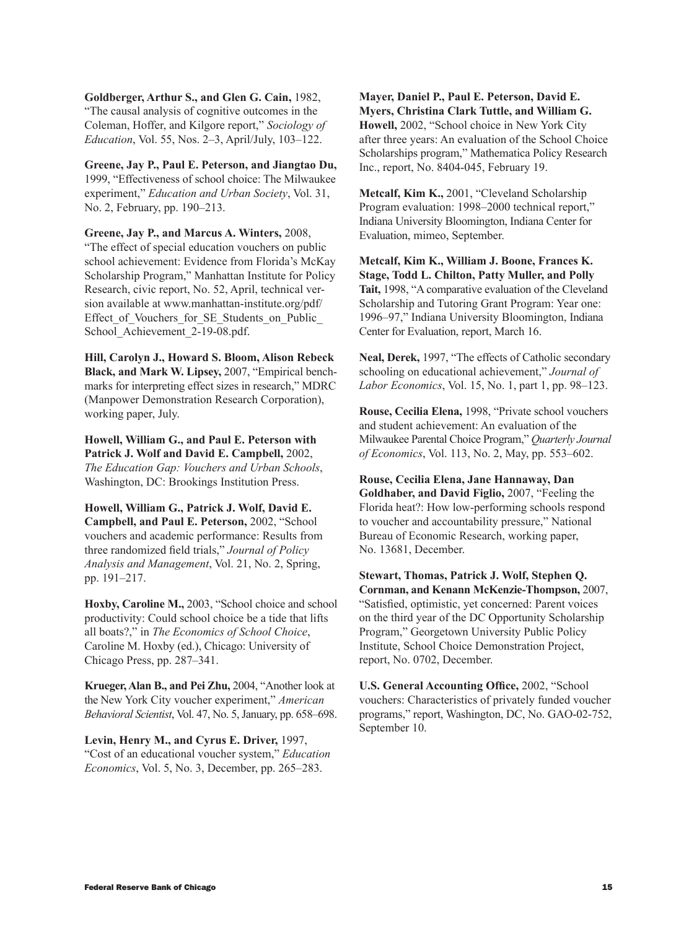**Goldberger, Arthur S., and Glen G. Cain,** 1982, "The causal analysis of cognitive outcomes in the Coleman, Hoffer, and Kilgore report," *Sociology of Education*, Vol. 55, Nos. 2–3, April/July, 103–122.

**Greene, Jay P., Paul E. Peterson, and Jiangtao Du,** 1999, "Effectiveness of school choice: The Milwaukee experiment," *Education and Urban Society*, Vol. 31, No. 2, February, pp. 190–213.

**Greene, Jay P., and Marcus A. Winters,** 2008, "The effect of special education vouchers on public school achievement: Evidence from Florida's McKay Scholarship Program," Manhattan Institute for Policy Research, civic report, No. 52, April, technical version available at www.manhattan-institute.org/pdf/ Effect of Vouchers for SE Students on Public School\_Achievement\_2-19-08.pdf.

**Hill, Carolyn J., Howard S. Bloom, Alison Rebeck Black, and Mark W. Lipsey,** 2007, "Empirical benchmarks for interpreting effect sizes in research," MDRC (Manpower Demonstration Research Corporation), working paper, July.

**Howell, William G., and Paul E. Peterson with Patrick J. Wolf and David E. Campbell,** 2002, *The Education Gap: Vouchers and Urban Schools*, Washington, DC: Brookings Institution Press.

**Howell, William G., Patrick J. Wolf, David E. Campbell, and Paul E. Peterson,** 2002, "School vouchers and academic performance: Results from three randomized field trials," *Journal of Policy Analysis and Management*, Vol. 21, No. 2, Spring, pp. 191–217.

**Hoxby, Caroline M.,** 2003, "School choice and school productivity: Could school choice be a tide that lifts all boats?," in *The Economics of School Choice*, Caroline M. Hoxby (ed.), Chicago: University of Chicago Press, pp. 287–341.

**Krueger, Alan B., and Pei Zhu,** 2004, "Another look at the New York City voucher experiment," *American Behavioral Scientist*, Vol. 47, No. 5, January, pp. 658–698.

**Levin, Henry M., and Cyrus E. Driver,** 1997, "Cost of an educational voucher system," *Education Economics*, Vol. 5, No. 3, December, pp. 265–283.

**Mayer, Daniel P., Paul E. Peterson, David E. Myers, Christina Clark Tuttle, and William G. Howell,** 2002, "School choice in New York City after three years: An evaluation of the School Choice Scholarships program," Mathematica Policy Research Inc., report, No. 8404-045, February 19.

**Metcalf, Kim K.,** 2001, "Cleveland Scholarship Program evaluation: 1998–2000 technical report," Indiana University Bloomington, Indiana Center for Evaluation, mimeo, September.

**Metcalf, Kim K., William J. Boone, Frances K. Stage, Todd L. Chilton, Patty Muller, and Polly Tait,** 1998, "A comparative evaluation of the Cleveland Scholarship and Tutoring Grant Program: Year one: 1996–97," Indiana University Bloomington, Indiana Center for Evaluation, report, March 16.

**Neal, Derek,** 1997, "The effects of Catholic secondary schooling on educational achievement," *Journal of Labor Economics*, Vol. 15, No. 1, part 1, pp. 98–123.

**Rouse, Cecilia Elena,** 1998, "Private school vouchers and student achievement: An evaluation of the Milwaukee Parental Choice Program," *Quarterly Journal of Economics*, Vol. 113, No. 2, May, pp. 553–602.

**Rouse, Cecilia Elena, Jane Hannaway, Dan Goldhaber, and David Figlio,** 2007, "Feeling the Florida heat?: How low-performing schools respond to voucher and accountability pressure," National Bureau of Economic Research, working paper, No. 13681, December.

**Stewart, Thomas, Patrick J. Wolf, Stephen Q. Cornman, and Kenann McKenzie-Thompson,** 2007, "Satisfied, optimistic, yet concerned: Parent voices on the third year of the DC Opportunity Scholarship Program," Georgetown University Public Policy Institute, School Choice Demonstration Project, report, No. 0702, December.

**U.S. General Accounting Office,** 2002, "School vouchers: Characteristics of privately funded voucher programs," report, Washington, DC, No. GAO-02-752, September 10.